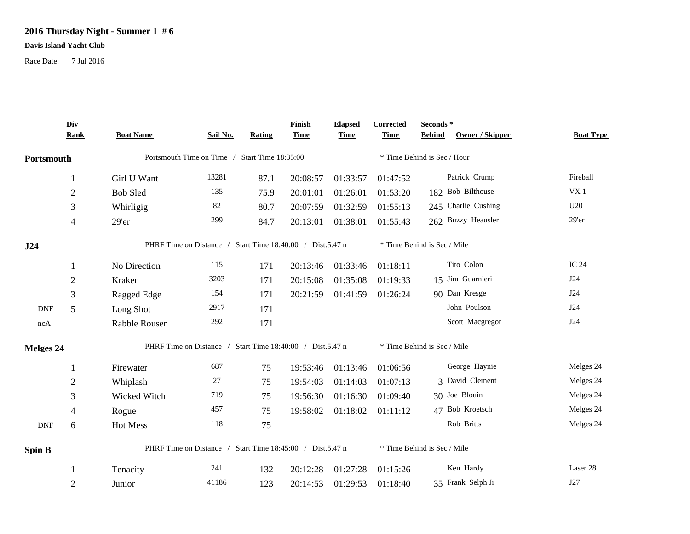## **2016 Thursday Night - Summer 1 # 6**

## **Davis Island Yacht Club**

Race Date: 7 Jul 2016

|               | Div            | <b>Boat Name</b>                                          | Sail No. | <b>Rating</b> | Finish<br><b>Time</b> | <b>Elapsed</b> | Corrected<br><b>Time</b>    | Seconds $^\ast$<br><b>Behind</b><br>Owner / Skipper | <b>Boat Type</b> |  |  |
|---------------|----------------|-----------------------------------------------------------|----------|---------------|-----------------------|----------------|-----------------------------|-----------------------------------------------------|------------------|--|--|
|               | <b>Rank</b>    |                                                           |          |               |                       | <b>Time</b>    |                             |                                                     |                  |  |  |
| Portsmouth    |                | Portsmouth Time on Time / Start Time 18:35:00             |          |               |                       |                |                             | * Time Behind is Sec / Hour                         |                  |  |  |
|               | $\mathbf{1}$   | Girl U Want                                               | 13281    | 87.1          | 20:08:57              | 01:33:57       | 01:47:52                    | Patrick Crump                                       | Fireball         |  |  |
|               | $\mathfrak{2}$ | <b>Bob Sled</b>                                           | 135      | 75.9          | 20:01:01              | 01:26:01       | 01:53:20                    | 182 Bob Bilthouse                                   | VX <sub>1</sub>  |  |  |
|               | 3              | Whirligig                                                 | 82       | 80.7          | 20:07:59              | 01:32:59       | 01:55:13                    | 245 Charlie Cushing                                 | U20              |  |  |
|               | $\overline{4}$ | 29'er                                                     | 299      | 84.7          | 20:13:01              | 01:38:01       | 01:55:43                    | 262 Buzzy Heausler                                  | $29'$ er         |  |  |
| J24           |                | PHRF Time on Distance / Start Time 18:40:00 / Dist.5.47 n |          |               |                       |                | * Time Behind is Sec / Mile |                                                     |                  |  |  |
|               | 1              | No Direction                                              | 115      | 171           | 20:13:46              | 01:33:46       | 01:18:11                    | Tito Colon                                          | <b>IC 24</b>     |  |  |
|               | $\mathbf{2}$   | Kraken                                                    | 3203     | 171           | 20:15:08              | 01:35:08       | 01:19:33                    | 15 Jim Guarnieri                                    | J24              |  |  |
|               | 3              | Ragged Edge                                               | 154      | 171           | 20:21:59              | 01:41:59       | 01:26:24                    | 90 Dan Kresge                                       | J24              |  |  |
| <b>DNE</b>    | 5              | Long Shot                                                 | 2917     | 171           |                       |                |                             | John Poulson                                        | J24              |  |  |
| ncA           |                | Rabble Rouser                                             | 292      | 171           |                       |                |                             | Scott Macgregor                                     | <b>J24</b>       |  |  |
| Melges 24     |                | PHRF Time on Distance / Start Time 18:40:00 / Dist.5.47 n |          |               |                       |                |                             | * Time Behind is Sec / Mile                         |                  |  |  |
|               | 1              | Firewater                                                 | 687      | 75            | 19:53:46              | 01:13:46       | 01:06:56                    | George Haynie                                       | Melges 24        |  |  |
|               | $\overline{2}$ | Whiplash                                                  | 27       | 75            | 19:54:03              | 01:14:03       | 01:07:13                    | 3 David Clement                                     | Melges 24        |  |  |
|               | 3              | Wicked Witch                                              | 719      | 75            | 19:56:30              | 01:16:30       | 01:09:40                    | 30 Joe Blouin                                       | Melges 24        |  |  |
|               | $\overline{4}$ | Rogue                                                     | 457      | 75            | 19:58:02              | 01:18:02       | 01:11:12                    | 47 Bob Kroetsch                                     | Melges 24        |  |  |
| <b>DNF</b>    | 6              | Hot Mess                                                  | 118      | 75            |                       |                |                             | Rob Britts                                          | Melges 24        |  |  |
| <b>Spin B</b> |                | PHRF Time on Distance / Start Time 18:45:00 / Dist.5.47 n |          |               |                       |                |                             | * Time Behind is Sec / Mile                         |                  |  |  |
|               |                | Tenacity                                                  | 241      | 132           | 20:12:28              | 01:27:28       | 01:15:26                    | Ken Hardy                                           | Laser 28         |  |  |
|               | $\overline{2}$ | Junior                                                    | 41186    | 123           | 20:14:53              | 01:29:53       | 01:18:40                    | 35 Frank Selph Jr                                   | J27              |  |  |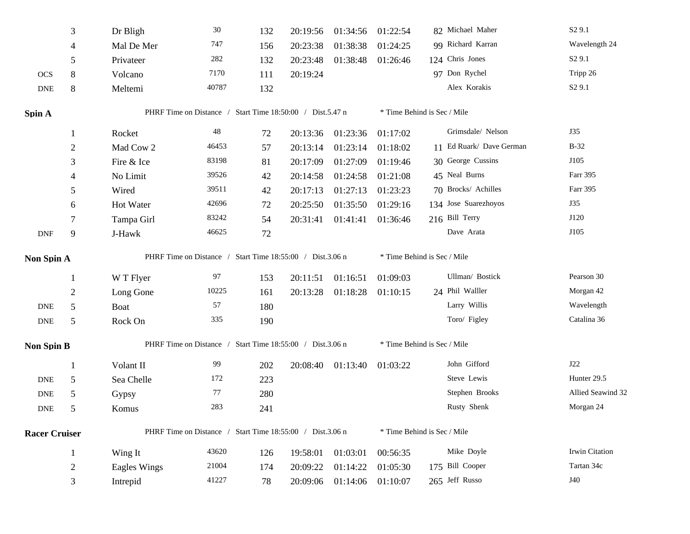|                             | 3              | Dr Bligh                                                  | $30\,$                                                    | 132 | 20:19:56 | 01:34:56          | 01:22:54                    | 82 Michael Maher         | S <sub>2</sub> 9.1 |  |
|-----------------------------|----------------|-----------------------------------------------------------|-----------------------------------------------------------|-----|----------|-------------------|-----------------------------|--------------------------|--------------------|--|
|                             | 4              | Mal De Mer                                                | 747                                                       | 156 | 20:23:38 | 01:38:38          | 01:24:25                    | 99 Richard Karran        | Wavelength 24      |  |
|                             | 5              | Privateer                                                 | 282                                                       | 132 | 20:23:48 | 01:38:48          | 01:26:46                    | 124 Chris Jones          | S <sub>2</sub> 9.1 |  |
| <b>OCS</b>                  | $8\,$          | Volcano                                                   | 7170                                                      | 111 | 20:19:24 |                   |                             | 97 Don Rychel            | Tripp 26           |  |
| <b>DNE</b>                  | $8\,$          | Meltemi                                                   | 40787                                                     | 132 |          |                   |                             | Alex Korakis             | S <sub>2</sub> 9.1 |  |
| Spin A                      |                |                                                           | PHRF Time on Distance / Start Time 18:50:00 / Dist.5.47 n |     |          |                   | * Time Behind is Sec / Mile |                          |                    |  |
|                             | 1              | Rocket                                                    | $\sqrt{48}$                                               | 72  | 20:13:36 | 01:23:36          | 01:17:02                    | Grimsdale/ Nelson        | J35                |  |
|                             | $\overline{c}$ | Mad Cow 2                                                 | 46453                                                     | 57  | 20:13:14 | 01:23:14          | 01:18:02                    | 11 Ed Ruark/ Dave German | $B-32$             |  |
|                             | 3              | Fire & Ice                                                | 83198                                                     | 81  | 20:17:09 | 01:27:09          | 01:19:46                    | 30 George Cussins        | J105               |  |
|                             |                | No Limit                                                  | 39526                                                     | 42  | 20:14:58 | 01:24:58          | 01:21:08                    | 45 Neal Burns            | Farr 395           |  |
|                             | 5              | Wired                                                     | 39511                                                     | 42  | 20:17:13 | 01:27:13          | 01:23:23                    | 70 Brocks/ Achilles      | Farr 395           |  |
|                             | 6              | Hot Water                                                 | 42696                                                     | 72  | 20:25:50 | 01:35:50          | 01:29:16                    | 134 Jose Suarezhoyos     | J35                |  |
|                             | 7              | Tampa Girl                                                | 83242                                                     | 54  | 20:31:41 | 01:41:41          | 01:36:46                    | 216 Bill Terry           | J120               |  |
| $\ensuremath{\mathsf{DNF}}$ | 9              | J-Hawk                                                    | 46625                                                     | 72  |          |                   |                             | Dave Arata               | J105               |  |
| Non Spin A                  |                | PHRF Time on Distance / Start Time 18:55:00 / Dist.3.06 n |                                                           |     |          |                   | * Time Behind is Sec / Mile |                          |                    |  |
|                             | -1             | W T Flyer                                                 | 97                                                        | 153 | 20:11:51 | 01:16:51          | 01:09:03                    | Ullman/ Bostick          | Pearson 30         |  |
|                             | $\overline{c}$ | Long Gone                                                 | 10225                                                     | 161 | 20:13:28 | 01:18:28          | 01:10:15                    | 24 Phil Walller          | Morgan 42          |  |
| <b>DNE</b>                  | 5              | <b>Boat</b>                                               | 57                                                        | 180 |          |                   |                             | Larry Willis             | Wavelength         |  |
| <b>DNE</b>                  | 5              | Rock On                                                   | 335                                                       | 190 |          |                   |                             | Toro/ Figley             | Catalina 36        |  |
| <b>Non Spin B</b>           |                |                                                           | PHRF Time on Distance / Start Time 18:55:00 / Dist.3.06 n |     |          |                   | * Time Behind is Sec / Mile |                          |                    |  |
|                             | -1             | Volant II                                                 | 99                                                        | 202 |          | 20:08:40 01:13:40 | 01:03:22                    | John Gifford             | J22                |  |
| <b>DNE</b>                  | 5              | Sea Chelle                                                | 172                                                       | 223 |          |                   |                             | Steve Lewis              | Hunter 29.5        |  |
| <b>DNE</b>                  | 5              | Gypsy                                                     | 77                                                        | 280 |          |                   |                             | Stephen Brooks           | Allied Seawind 32  |  |
| <b>DNE</b>                  | 5              | Komus                                                     | 283                                                       | 241 |          |                   |                             | Rusty Shenk              | Morgan 24          |  |
| <b>Racer Cruiser</b>        |                | PHRF Time on Distance / Start Time 18:55:00 / Dist.3.06 n |                                                           |     |          |                   | * Time Behind is Sec / Mile |                          |                    |  |
|                             | $\mathbf{1}$   | Wing It                                                   | 43620                                                     | 126 | 19:58:01 | 01:03:01          | 00:56:35                    | Mike Doyle               | Irwin Citation     |  |
|                             | 2              | <b>Eagles Wings</b>                                       | 21004                                                     | 174 | 20:09:22 | 01:14:22          | 01:05:30                    | 175 Bill Cooper          | Tartan 34c         |  |
|                             | 3              | Intrepid                                                  | 41227                                                     | 78  | 20:09:06 | 01:14:06          | 01:10:07                    | 265 Jeff Russo           | J40                |  |